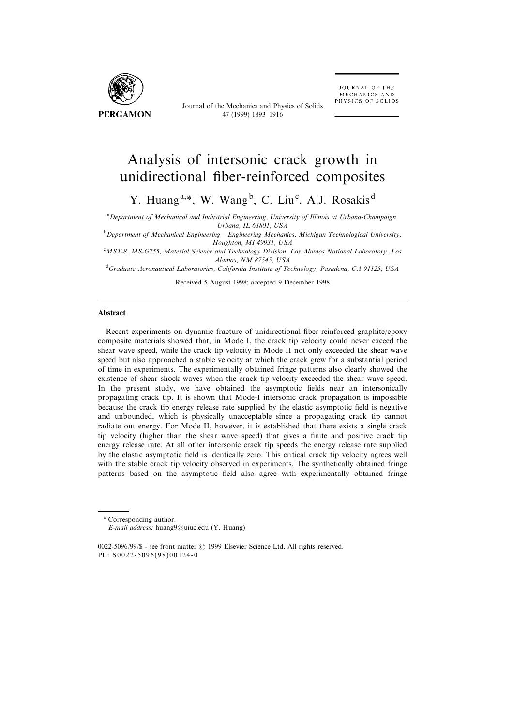

Journal of the Mechanics and Physics of Solids 47 (1999) 1893±1916

# Analysis of intersonic crack growth in unidirectional fiber-reinforced composites

Y. Huang<sup>a,\*</sup>, W. Wang<sup>b</sup>, C. Liu<sup>c</sup>, A.J. Rosakis<sup>d</sup>

<sup>a</sup> Department of Mechanical and Industrial Engineering, University of Illinois at Urbana-Champaign,

Urbana, IL 61801, USA<br>Department of Mechanical Engineering—Engineering Mechanics, Michigan Technological University, Houghton, MI 49931, USA

<sup>c</sup>MST-8, MS-G755, Material Science and Technology Division, Los Alamos National Laboratory, Los Alamos, NM 87545, USA<br><sup>d</sup>Graduate Aeronautical Laboratories, California Institute of Technology, Pasadena, CA 91125, USA

Received 5 August 1998; accepted 9 December 1998

#### **Abstract**

Recent experiments on dynamic fracture of unidirectional fiber-reinforced graphite/epoxy composite materials showed that, in Mode I, the crack tip velocity could never exceed the shear wave speed, while the crack tip velocity in Mode II not only exceeded the shear wave speed but also approached a stable velocity at which the crack grew for a substantial period of time in experiments. The experimentally obtained fringe patterns also clearly showed the existence of shear shock waves when the crack tip velocity exceeded the shear wave speed. In the present study, we have obtained the asymptotic fields near an intersonically propagating crack tip. It is shown that Mode-I intersonic crack propagation is impossible because the crack tip energy release rate supplied by the elastic asymptotic field is negative and unbounded, which is physically unacceptable since a propagating crack tip cannot radiate out energy. For Mode II, however, it is established that there exists a single crack tip velocity (higher than the shear wave speed) that gives a finite and positive crack tip energy release rate. At all other intersonic crack tip speeds the energy release rate supplied by the elastic asymptotic field is identically zero. This critical crack tip velocity agrees well with the stable crack tip velocity observed in experiments. The synthetically obtained fringe patterns based on the asymptotic field also agree with experimentally obtained fringe

\* Corresponding author.

E-mail address: huang9@uiuc.edu (Y. Huang)

 $0022-5096/99/$ \$ - see front matter  $\odot$  1999 Elsevier Science Ltd. All rights reserved. PII: S0022-5096(98)00124-0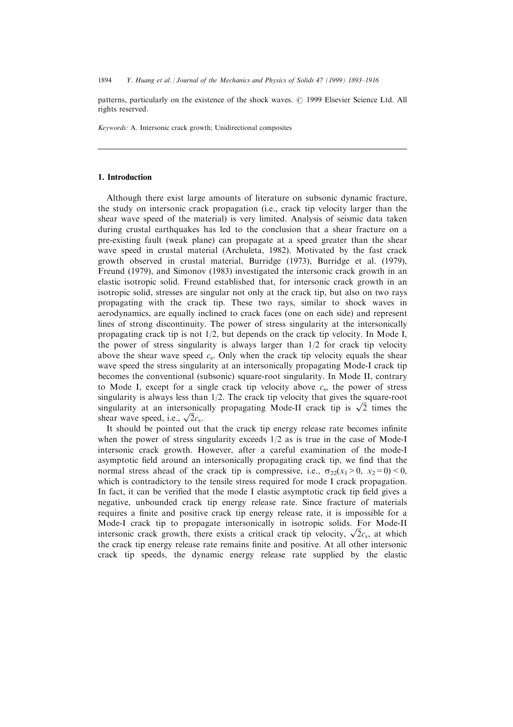patterns, particularly on the existence of the shock waves.  $\odot$  1999 Elsevier Science Ltd. All rights reserved.

Keywords: A. Intersonic crack growth; Unidirectional composites

#### 1. Introduction

Although there exist large amounts of literature on subsonic dynamic fracture, the study on intersonic crack propagation (i.e., crack tip velocity larger than the shear wave speed of the material) is very limited. Analysis of seismic data taken during crustal earthquakes has led to the conclusion that a shear fracture on a pre-existing fault (weak plane) can propagate at a speed greater than the shear wave speed in crustal material (Archuleta, 1982). Motivated by the fast crack growth observed in crustal material, Burridge (1973), Burridge et al. (1979), Freund (1979), and Simonov (1983) investigated the intersonic crack growth in an elastic isotropic solid. Freund established that, for intersonic crack growth in an isotropic solid, stresses are singular not only at the crack tip, but also on two rays propagating with the crack tip. These two rays, similar to shock waves in aerodynamics, are equally inclined to crack faces (one on each side) and represent lines of strong discontinuity. The power of stress singularity at the intersonically propagating crack tip is not  $1/2$ , but depends on the crack tip velocity. In Mode I, the power of stress singularity is always larger than  $1/2$  for crack tip velocity above the shear wave speed  $c_s$ . Only when the crack tip velocity equals the shear wave speed the stress singularity at an intersonically propagating Mode-I crack tip becomes the conventional (subsonic) square-root singularity. In Mode II, contrary to Mode I, except for a single crack tip velocity above  $c_s$ , the power of stress singularity is always less than  $1/2$ . The crack tip velocity that gives the square-root singularity is always less than  $1/2$ . The crack up velocity that gives the square-root singularity at an intersonically propagating Mode-II crack tip is  $\sqrt{2}$  times the singuiarity at an intersonic<br>shear wave speed, i.e.,  $\sqrt{2}c_s$ .

It should be pointed out that the crack tip energy release rate becomes infinite when the power of stress singularity exceeds  $1/2$  as is true in the case of Mode-I intersonic crack growth. However, after a careful examination of the mode-I asymptotic field around an intersonically propagating crack tip, we find that the normal stress ahead of the crack tip is compressive, i.e.,  $\sigma_{22}(x_1>0, x_2=0) < 0$ , which is contradictory to the tensile stress required for mode I crack propagation. In fact, it can be verified that the mode I elastic asymptotic crack tip field gives a negative, unbounded crack tip energy release rate. Since fracture of materials requires a finite and positive crack tip energy release rate, it is impossible for a Mode-I crack tip to propagate intersonically in isotropic solids. For Mode-II mode-1 crack up to propagate intersonically in isotropic solids. For mode-1<br>intersonic crack growth, there exists a critical crack tip velocity,  $\sqrt{2}c_s$ , at which the crack tip energy release rate remains finite and positive. At all other intersonic crack tip speeds, the dynamic energy release rate supplied by the elastic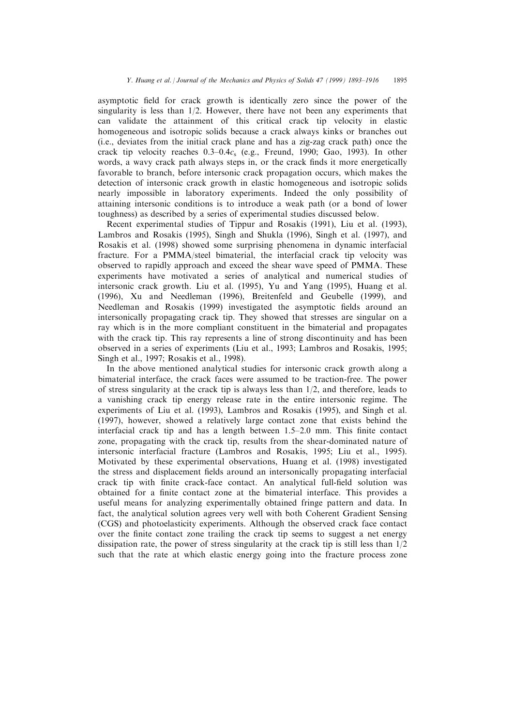asymptotic field for crack growth is identically zero since the power of the singularity is less than  $1/2$ . However, there have not been any experiments that can validate the attainment of this critical crack tip velocity in elastic homogeneous and isotropic solids because a crack always kinks or branches out (i.e., deviates from the initial crack plane and has a zig-zag crack path) once the crack tip velocity reaches  $0.3-0.4c_s$  (e.g., Freund, 1990; Gao, 1993). In other words, a wavy crack path always steps in, or the crack finds it more energetically favorable to branch, before intersonic crack propagation occurs, which makes the detection of intersonic crack growth in elastic homogeneous and isotropic solids nearly impossible in laboratory experiments. Indeed the only possibility of attaining intersonic conditions is to introduce a weak path (or a bond of lower toughness) as described by a series of experimental studies discussed below.

Recent experimental studies of Tippur and Rosakis (1991), Liu et al. (1993), Lambros and Rosakis (1995), Singh and Shukla (1996), Singh et al. (1997), and Rosakis et al. (1998) showed some surprising phenomena in dynamic interfacial fracture. For a PMMA/steel bimaterial, the interfacial crack tip velocity was observed to rapidly approach and exceed the shear wave speed of PMMA. These experiments have motivated a series of analytical and numerical studies of intersonic crack growth. Liu et al. (1995), Yu and Yang (1995), Huang et al. (1996), Xu and Needleman (1996), Breitenfeld and Geubelle (1999), and Needleman and Rosakis (1999) investigated the asymptotic fields around an intersonically propagating crack tip. They showed that stresses are singular on a ray which is in the more compliant constituent in the bimaterial and propagates with the crack tip. This ray represents a line of strong discontinuity and has been observed in a series of experiments (Liu et al., 1993; Lambros and Rosakis, 1995; Singh et al., 1997; Rosakis et al., 1998).

In the above mentioned analytical studies for intersonic crack growth along a bimaterial interface, the crack faces were assumed to be traction-free. The power of stress singularity at the crack tip is always less than  $1/2$ , and therefore, leads to a vanishing crack tip energy release rate in the entire intersonic regime. The experiments of Liu et al. (1993), Lambros and Rosakis (1995), and Singh et al. (1997), however, showed a relatively large contact zone that exists behind the interfacial crack tip and has a length between  $1.5-2.0$  mm. This finite contact zone, propagating with the crack tip, results from the shear-dominated nature of intersonic interfacial fracture (Lambros and Rosakis, 1995; Liu et al., 1995). Motivated by these experimental observations, Huang et al. (1998) investigated the stress and displacement fields around an intersonically propagating interfacial crack tip with finite crack-face contact. An analytical full-field solution was obtained for a finite contact zone at the bimaterial interface. This provides a useful means for analyzing experimentally obtained fringe pattern and data. In fact, the analytical solution agrees very well with both Coherent Gradient Sensing (CGS) and photoelasticity experiments. Although the observed crack face contact over the finite contact zone trailing the crack tip seems to suggest a net energy dissipation rate, the power of stress singularity at the crack tip is still less than  $1/2$ such that the rate at which elastic energy going into the fracture process zone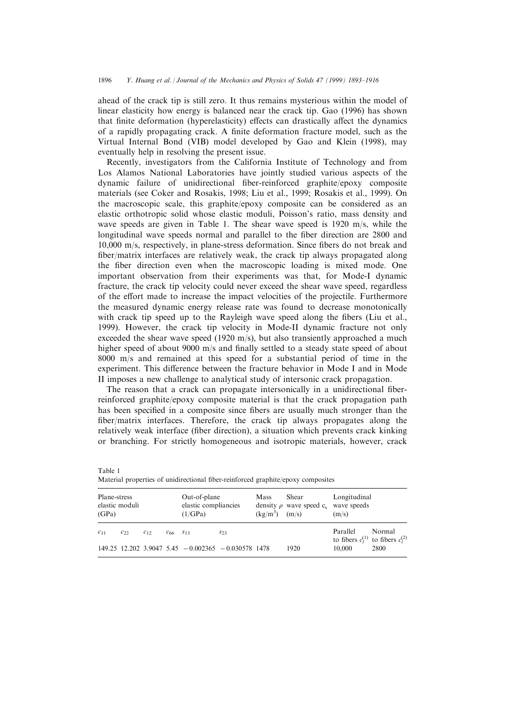ahead of the crack tip is still zero. It thus remains mysterious within the model of linear elasticity how energy is balanced near the crack tip. Gao (1996) has shown that finite deformation (hyperelasticity) effects can drastically affect the dynamics of a rapidly propagating crack. A finite deformation fracture model, such as the Virtual Internal Bond (VIB) model developed by Gao and Klein (1998), may eventually help in resolving the present issue.

Recently, investigators from the California Institute of Technology and from Los Alamos National Laboratories have jointly studied various aspects of the dynamic failure of unidirectional fiber-reinforced graphite/epoxy composite materials (see Coker and Rosakis, 1998; Liu et al., 1999; Rosakis et al., 1999). On the macroscopic scale, this graphite/epoxy composite can be considered as an elastic orthotropic solid whose elastic moduli, Poisson's ratio, mass density and wave speeds are given in Table 1. The shear wave speed is 1920 m/s, while the longitudinal wave speeds normal and parallel to the fiber direction are 2800 and 10,000 m/s, respectively, in plane-stress deformation. Since ®bers do not break and fiber/matrix interfaces are relatively weak, the crack tip always propagated along the fiber direction even when the macroscopic loading is mixed mode. One important observation from their experiments was that, for Mode-I dynamic fracture, the crack tip velocity could never exceed the shear wave speed, regardless of the effort made to increase the impact velocities of the projectile. Furthermore the measured dynamic energy release rate was found to decrease monotonically with crack tip speed up to the Rayleigh wave speed along the fibers (Liu et al., 1999). However, the crack tip velocity in Mode-II dynamic fracture not only exceeded the shear wave speed (1920 m/s), but also transiently approached a much higher speed of about  $9000$  m/s and finally settled to a steady state speed of about 8000 m/s and remained at this speed for a substantial period of time in the experiment. This difference between the fracture behavior in Mode I and in Mode II imposes a new challenge to analytical study of intersonic crack propagation.

The reason that a crack can propagate intersonically in a unidirectional fiberreinforced graphite/epoxy composite material is that the crack propagation path has been specified in a composite since fibers are usually much stronger than the fiber/matrix interfaces. Therefore, the crack tip always propagates along the relatively weak interface (fiber direction), a situation which prevents crack kinking or branching. For strictly homogeneous and isotropic materials, however, crack

Table 1 Material properties of unidirectional fiber-reinforced graphite/epoxy composites

| Plane-stress<br>elastic moduli<br>(GPa) |          |          | Out-of-plane<br>elastic compliancies<br>(1/GPa) |  | Mass<br>$(kg/m^3)$ (m/s)                                 | Shear<br>density $\rho$ wave speed c, wave speeds | Longitudinal<br>(m/s) |          |                                                       |
|-----------------------------------------|----------|----------|-------------------------------------------------|--|----------------------------------------------------------|---------------------------------------------------|-----------------------|----------|-------------------------------------------------------|
| $c_{11}$                                | $c_{22}$ | $c_{12}$ | $c_{66}$ $s_{13}$                               |  | $S_{23}$                                                 |                                                   |                       | Parallel | Normal<br>to fibers $c_1^{(1)}$ to fibers $c_2^{(2)}$ |
|                                         |          |          |                                                 |  | $149.25$ 12.202 3.9047 5.45 $-0.002365$ $-0.030578$ 1478 |                                                   | 1920                  | 10.000   | 2800                                                  |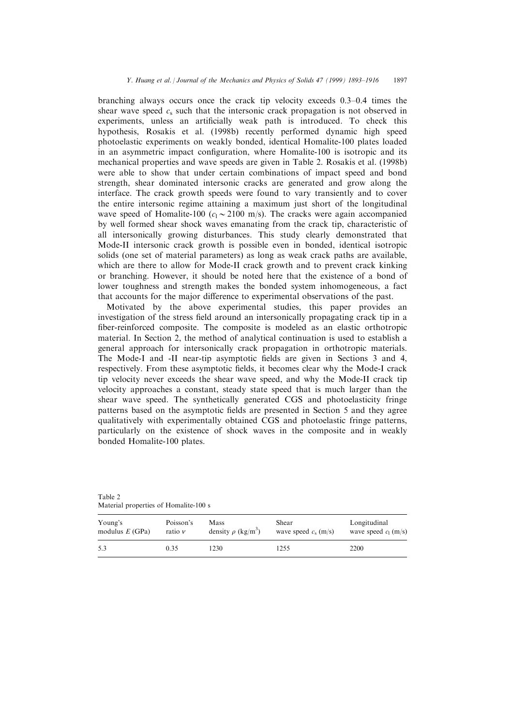branching always occurs once the crack tip velocity exceeds  $0.3-0.4$  times the shear wave speed  $c_s$  such that the intersonic crack propagation is not observed in experiments, unless an artificially weak path is introduced. To check this hypothesis, Rosakis et al. (1998b) recently performed dynamic high speed photoelastic experiments on weakly bonded, identical Homalite-100 plates loaded in an asymmetric impact configuration, where Homalite-100 is isotropic and its mechanical properties and wave speeds are given in Table 2. Rosakis et al. (1998b) were able to show that under certain combinations of impact speed and bond strength, shear dominated intersonic cracks are generated and grow along the interface. The crack growth speeds were found to vary transiently and to cover the entire intersonic regime attaining a maximum just short of the longitudinal wave speed of Homalite-100 ( $c_1 \sim 2100$  m/s). The cracks were again accompanied by well formed shear shock waves emanating from the crack tip, characteristic of all intersonically growing disturbances. This study clearly demonstrated that Mode-II intersonic crack growth is possible even in bonded, identical isotropic solids (one set of material parameters) as long as weak crack paths are available, which are there to allow for Mode-II crack growth and to prevent crack kinking or branching. However, it should be noted here that the existence of a bond of lower toughness and strength makes the bonded system inhomogeneous, a fact that accounts for the major difference to experimental observations of the past.

Motivated by the above experimental studies, this paper provides an investigation of the stress field around an intersonically propagating crack tip in a fiber-reinforced composite. The composite is modeled as an elastic orthotropic material. In Section 2, the method of analytical continuation is used to establish a general approach for intersonically crack propagation in orthotropic materials. The Mode-I and -II near-tip asymptotic fields are given in Sections 3 and 4, respectively. From these asymptotic fields, it becomes clear why the Mode-I crack tip velocity never exceeds the shear wave speed, and why the Mode-II crack tip velocity approaches a constant, steady state speed that is much larger than the shear wave speed. The synthetically generated CGS and photoelasticity fringe patterns based on the asymptotic fields are presented in Section 5 and they agree qualitatively with experimentally obtained CGS and photoelastic fringe patterns, particularly on the existence of shock waves in the composite and in weakly bonded Homalite-100 plates.

| Young's          | Poisson's   | Mass                                | Shear                  | Longitudinal           |
|------------------|-------------|-------------------------------------|------------------------|------------------------|
| modulus $E(GPa)$ | ratio $\nu$ | density $\rho$ (kg/m <sup>3</sup> ) | wave speed $c_s$ (m/s) | wave speed $c_1$ (m/s) |
| 5.3              | 0.35        | 1230                                | 1255                   | 2200                   |

Table 2 Material properties of Homalite-100 s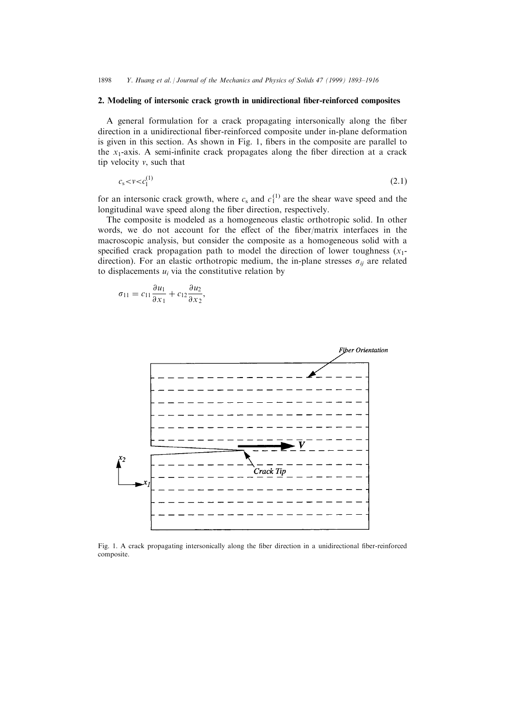#### 2. Modeling of intersonic crack growth in unidirectional fiber-reinforced composites

A general formulation for a crack propagating intersonically along the fiber direction in a unidirectional fiber-reinforced composite under in-plane deformation is given in this section. As shown in Fig. 1, fibers in the composite are parallel to the  $x_1$ -axis. A semi-infinite crack propagates along the fiber direction at a crack tip velocity  $v$ , such that

$$
c_{s} < v < c_{1}^{(1)} \tag{2.1}
$$

for an intersonic crack growth, where  $c_s$  and  $c_1^{(1)}$  are the shear wave speed and the longitudinal wave speed along the fiber direction, respectively.

The composite is modeled as a homogeneous elastic orthotropic solid. In other words, we do not account for the effect of the fiber/matrix interfaces in the macroscopic analysis, but consider the composite as a homogeneous solid with a specified crack propagation path to model the direction of lower toughness  $(x_1$ direction). For an elastic orthotropic medium, the in-plane stresses  $\sigma_{ii}$  are related to displacements  $u_i$  via the constitutive relation by

$$
\sigma_{11} = c_{11} \frac{\partial u_1}{\partial x_1} + c_{12} \frac{\partial u_2}{\partial x_2},
$$



Fig. 1. A crack propagating intersonically along the fiber direction in a unidirectional fiber-reinforced composite.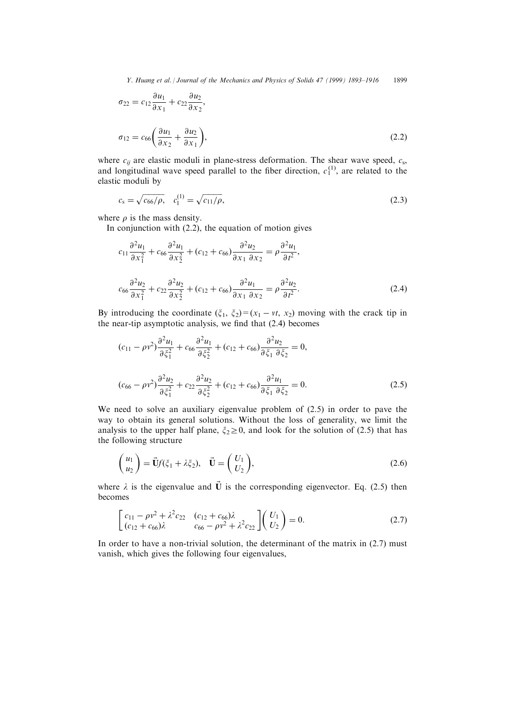Y. Huang et al. *| Journal of the Mechanics and Physics of Solids 47 (1999) 1893–1916* 1899

$$
\sigma_{22} = c_{12} \frac{\partial u_1}{\partial x_1} + c_{22} \frac{\partial u_2}{\partial x_2},
$$
  

$$
\sigma_{12} = c_{66} \left( \frac{\partial u_1}{\partial x_2} + \frac{\partial u_2}{\partial x_1} \right),
$$
 (2.2)

where  $c_{ii}$  are elastic moduli in plane-stress deformation. The shear wave speed,  $c_s$ , and longitudinal wave speed parallel to the fiber direction,  $c_1^{(1)}$ , are related to the elastic moduli by

$$
c_{s} = \sqrt{c_{66}/\rho}, \quad c_{1}^{(1)} = \sqrt{c_{11}/\rho}, \tag{2.3}
$$

where  $\rho$  is the mass density.

In conjunction with (2.2), the equation of motion gives

$$
c_{11}\frac{\partial^2 u_1}{\partial x_1^2} + c_{66}\frac{\partial^2 u_1}{\partial x_2^2} + (c_{12} + c_{66})\frac{\partial^2 u_2}{\partial x_1 \partial x_2} = \rho \frac{\partial^2 u_1}{\partial t^2},
$$
  

$$
c_{66}\frac{\partial^2 u_2}{\partial x_1^2} + c_{22}\frac{\partial^2 u_2}{\partial x_2^2} + (c_{12} + c_{66})\frac{\partial^2 u_1}{\partial x_1 \partial x_2} = \rho \frac{\partial^2 u_2}{\partial t^2}.
$$
 (2.4)

By introducing the coordinate  $(\xi_1, \xi_2)=(x_1 - vt, x_2)$  moving with the crack tip in the near-tip asymptotic analysis, we find that  $(2.4)$  becomes

$$
(c_{11} - \rho v^2) \frac{\partial^2 u_1}{\partial \xi_1^2} + c_{66} \frac{\partial^2 u_1}{\partial \xi_2^2} + (c_{12} + c_{66}) \frac{\partial^2 u_2}{\partial \xi_1 \partial \xi_2} = 0,
$$
  

$$
(c_{66} - \rho v^2) \frac{\partial^2 u_2}{\partial \xi_1^2} + c_{22} \frac{\partial^2 u_2}{\partial \xi_2^2} + (c_{12} + c_{66}) \frac{\partial^2 u_1}{\partial \xi_1 \partial \xi_2} = 0.
$$
 (2.5)

We need to solve an auxiliary eigenvalue problem of (2.5) in order to pave the way to obtain its general solutions. Without the loss of generality, we limit the analysis to the upper half plane,  $\xi_2 \geq 0$ , and look for the solution of (2.5) that has the following structure

$$
\begin{pmatrix} u_1 \\ u_2 \end{pmatrix} = \vec{\mathbf{U}}f(\xi_1 + \lambda \xi_2), \quad \vec{\mathbf{U}} = \begin{pmatrix} U_1 \\ U_2 \end{pmatrix},\tag{2.6}
$$

where  $\lambda$  is the eigenvalue and  $\vec{U}$  is the corresponding eigenvector. Eq. (2.5) then becomes

$$
\begin{bmatrix} c_{11} - \rho v^2 + \lambda^2 c_{22} & (c_{12} + c_{66})\lambda \\ (c_{12} + c_{66})\lambda & c_{66} - \rho v^2 + \lambda^2 c_{22} \end{bmatrix} \begin{pmatrix} U_1 \\ U_2 \end{pmatrix} = 0. \tag{2.7}
$$

In order to have a non-trivial solution, the determinant of the matrix in (2.7) must vanish, which gives the following four eigenvalues,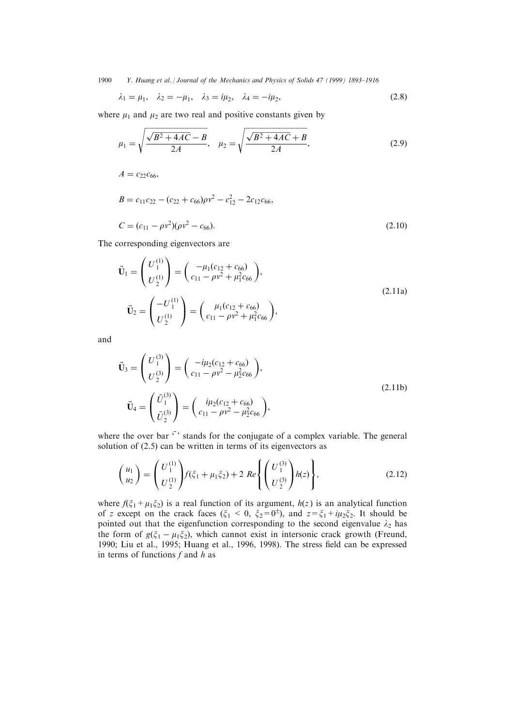1900 Y. Huang et al. | Journal of the Mechanics and Physics of Solids 47 (1999) 1893-1916

$$
\lambda_1 = \mu_1, \quad \lambda_2 = -\mu_1, \quad \lambda_3 = i\mu_2, \quad \lambda_4 = -i\mu_2,
$$
\n(2.8)

where  $\mu_1$  and  $\mu_2$  are two real and positive constants given by

$$
\mu_1 = \sqrt{\frac{\sqrt{B^2 + 4AC} - B}{2A}}, \quad \mu_2 = \sqrt{\frac{\sqrt{B^2 + 4AC} + B}{2A}}, \tag{2.9}
$$

 $A = c_{22}c_{66}$ 

$$
B = c_{11}c_{22} - (c_{22} + c_{66})\rho v^2 - c_{12}^2 - 2c_{12}c_{66},
$$
  
\n
$$
C = (c_{11} - \rho v^2)(\rho v^2 - c_{66}).
$$
\n(2.10)

The corresponding eigenvectors are

$$
\vec{\mathbf{U}}_1 = \begin{pmatrix} U_1^{(1)} \\ U_2^{(1)} \end{pmatrix} = \begin{pmatrix} -\mu_1(c_{12} + c_{66}) \\ c_{11} - \rho v^2 + \mu_1^2 c_{66} \end{pmatrix},
$$
\n
$$
\vec{\mathbf{U}}_2 = \begin{pmatrix} -U_1^{(1)} \\ U_2^{(1)} \end{pmatrix} = \begin{pmatrix} \mu_1(c_{12} + c_{66}) \\ c_{11} - \rho v^2 + \mu_1^2 c_{66} \end{pmatrix},
$$
\n(2.11a)

and

$$
\vec{\mathbf{U}}_3 = \begin{pmatrix} U_1^{(3)} \\ U_2^{(3)} \end{pmatrix} = \begin{pmatrix} -i\mu_2(c_{12} + c_{66}) \\ c_{11} - \rho v^2 - \mu_2^2 c_{66} \end{pmatrix},
$$
\n
$$
\vec{\mathbf{U}}_4 = \begin{pmatrix} \vec{U}_1^{(3)} \\ \vec{U}_2^{(3)} \end{pmatrix} = \begin{pmatrix} i\mu_2(c_{12} + c_{66}) \\ c_{11} - \rho v^2 - \mu_2^2 c_{66} \end{pmatrix},
$$
\n(2.11b)

where the over bar  $\cdot$  stands for the conjugate of a complex variable. The general solution of (2.5) can be written in terms of its eigenvectors as

$$
\begin{pmatrix} u_1 \\ u_2 \end{pmatrix} = \begin{pmatrix} U_1^{(1)} \\ U_2^{(1)} \end{pmatrix} f(\xi_1 + \mu_1 \xi_2) + 2 \ Re \left\{ \begin{pmatrix} U_1^{(3)} \\ U_2^{(3)} \end{pmatrix} h(z) \right\},\tag{2.12}
$$

where  $f(\xi_1+\mu_1\xi_2)$  is a real function of its argument,  $h(z)$  is an analytical function of z except on the crack faces ( $\xi_1 < 0$ ,  $\xi_2 = 0^{\pm}$ ), and  $z = \xi_1 + i\mu_2\xi_2$ . It should be pointed out that the eigenfunction corresponding to the second eigenvalue  $\lambda_2$  has the form of  $g(\xi_1 - \mu_1\xi_2)$ , which cannot exist in intersonic crack growth (Freund, 1990; Liu et al., 1995; Huang et al., 1996, 1998). The stress field can be expressed in terms of functions  $f$  and  $h$  as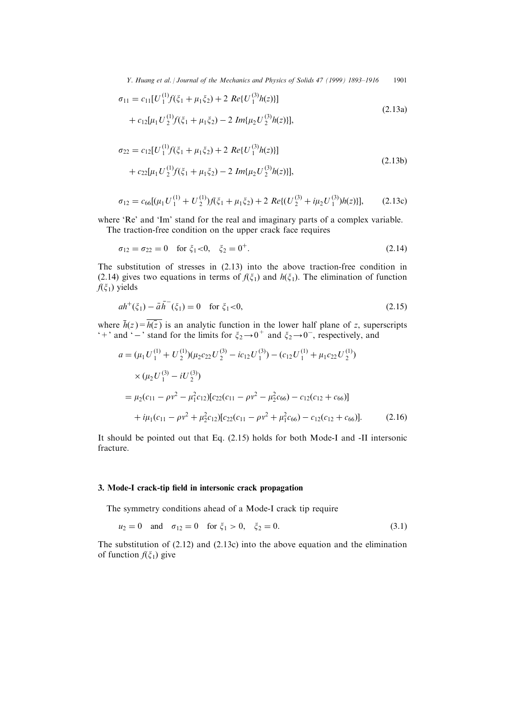Y. Huang et al. | Journal of the Mechanics and Physics of Solids 47 (1999) 1893-1916 1901

$$
\sigma_{11} = c_{11}[U_1^{(1)}f(\xi_1 + \mu_1 \xi_2) + 2 \ Re\{U_1^{(3)}h(z)\}]
$$
  
+ 
$$
c_{12}[\mu_1 U_2^{(1)}f(\xi_1 + \mu_1 \xi_2) - 2 \ Im\{\mu_2 U_2^{(3)}h(z)\}],
$$
 (2.13a)

$$
\sigma_{22} = c_{12} [U_1^{(1)} f(\xi_1 + \mu_1 \xi_2) + 2 \ Re\{U_1^{(3)} h(z)\}] \n+ c_{22} [\mu_1 U_2^{(1)} f(\xi_1 + \mu_1 \xi_2) - 2 \ Im\{\mu_2 U_2^{(3)} h(z)\}],
$$
\n(2.13b)

$$
\sigma_{12} = c_{66}[(\mu_1 U_1^{(1)} + U_2^{(1)})f(\xi_1 + \mu_1 \xi_2) + 2 \ Re\{(U_2^{(3)} + i\mu_2 U_1^{(3)})h(z)\}], \quad (2.13c)
$$

where 'Re' and 'Im' stand for the real and imaginary parts of a complex variable.

The traction-free condition on the upper crack face requires

$$
\sigma_{12} = \sigma_{22} = 0 \quad \text{for } \xi_1 < 0, \quad \xi_2 = 0^+.
$$
\n(2.14)

The substitution of stresses in (2.13) into the above traction-free condition in (2.14) gives two equations in terms of  $f(\xi_1)$  and  $h(\xi_1)$ . The elimination of function  $f(\xi_1)$  yields

$$
ah^{+}(\xi_{1}) - \bar{a}\bar{h}^{-}(\xi_{1}) = 0 \quad \text{for } \xi_{1} < 0,
$$
\n(2.15)

where  $h(z) = h(z)$  is an analytic function in the lower half plane of z, superscripts  $*+$ ' and  $*-$ ' stand for the limits for  $\xi_2 \rightarrow 0^+$  and  $\xi_2 \rightarrow 0^-,$  respectively, and

$$
a = (\mu_1 U_1^{(1)} + U_2^{(1)})(\mu_2 c_{22} U_2^{(3)} - i c_{12} U_1^{(3)}) - (c_{12} U_1^{(1)} + \mu_1 c_{22} U_2^{(1)})
$$
  
\n
$$
\times (\mu_2 U_1^{(3)} - i U_2^{(3)})
$$
  
\n
$$
= \mu_2 (c_{11} - \rho v^2 - \mu_1^2 c_{12}) [c_{22} (c_{11} - \rho v^2 - \mu_2^2 c_{66}) - c_{12} (c_{12} + c_{66})]
$$
  
\n
$$
+ i \mu_1 (c_{11} - \rho v^2 + \mu_2^2 c_{12}) [c_{22} (c_{11} - \rho v^2 + \mu_1^2 c_{66}) - c_{12} (c_{12} + c_{66})].
$$
 (2.16)

It should be pointed out that Eq. (2.15) holds for both Mode-I and -II intersonic fracture.

#### 3. Mode-I crack-tip field in intersonic crack propagation

The symmetry conditions ahead of a Mode-I crack tip require

$$
u_2 = 0
$$
 and  $\sigma_{12} = 0$  for  $\xi_1 > 0$ ,  $\xi_2 = 0$ . (3.1)

The substitution of  $(2.12)$  and  $(2.13c)$  into the above equation and the elimination of function  $f(\xi_1)$  give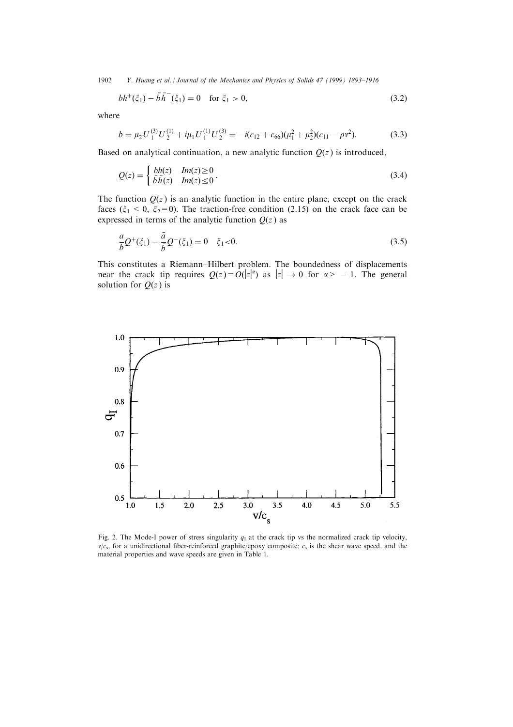1902 Y. Huang et al. | Journal of the Mechanics and Physics of Solids 47 (1999) 1893-1916

$$
bh^{+}(\xi_{1}) - \bar{b}\bar{h}^{-}(\xi_{1}) = 0 \quad \text{for } \xi_{1} > 0,
$$
\n(3.2)

where

$$
b = \mu_2 U_1^{(3)} U_2^{(1)} + i\mu_1 U_1^{(1)} U_2^{(3)} = -i(c_{12} + c_{66})(\mu_1^2 + \mu_2^2)(c_{11} - \rho v^2). \tag{3.3}
$$

Based on analytical continuation, a new analytic function  $Q(z)$  is introduced,

$$
Q(z) = \begin{cases} bh(z) & Im(z) \ge 0 \\ \bar{b}h(z) & Im(z) \le 0 \end{cases} \tag{3.4}
$$

The function  $Q(z)$  is an analytic function in the entire plane, except on the crack faces ( $\xi_1$  < 0,  $\xi_2$ =0). The traction-free condition (2.15) on the crack face can be expressed in terms of the analytic function  $Q(z)$  as

$$
\frac{a}{b}Q^+(\xi_1) - \frac{\bar{a}}{\bar{b}}Q^-(\xi_1) = 0 \quad \xi_1 < 0. \tag{3.5}
$$

This constitutes a Riemann–Hilbert problem. The boundedness of displacements near the crack tip requires  $Q(z) = O(|z|^{\alpha})$  as  $|z| \to 0$  for  $\alpha > -1$ . The general solution for  $Q(z)$  is



Fig. 2. The Mode-I power of stress singularity  $q_1$  at the crack tip vs the normalized crack tip velocity,  $v/c<sub>s</sub>$ , for a unidirectional fiber-reinforced graphite/epoxy composite;  $c<sub>s</sub>$  is the shear wave speed, and the material properties and wave speeds are given in Table 1.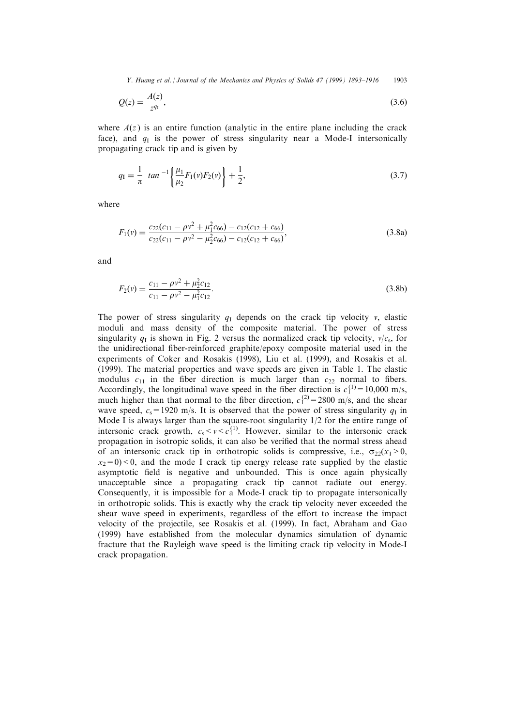Y. Huang et al. *| Journal of the Mechanics and Physics of Solids 47 (1999) 1893-1916* 1903

$$
Q(z) = \frac{A(z)}{z^{q_1}},\tag{3.6}
$$

where  $A(z)$  is an entire function (analytic in the entire plane including the crack face), and  $q_1$  is the power of stress singularity near a Mode-I intersonically propagating crack tip and is given by

$$
q_1 = \frac{1}{\pi} \tan^{-1} \left\{ \frac{\mu_1}{\mu_2} F_1(v) F_2(v) \right\} + \frac{1}{2}, \tag{3.7}
$$

where

$$
F_1(v) = \frac{c_{22}(c_{11} - \rho v^2 + \mu_1^2 c_{66}) - c_{12}(c_{12} + c_{66})}{c_{22}(c_{11} - \rho v^2 - \mu_2^2 c_{66}) - c_{12}(c_{12} + c_{66})},
$$
\n(3.8a)

and

$$
F_2(v) = \frac{c_{11} - \rho v^2 + \mu_2^2 c_{12}}{c_{11} - \rho v^2 - \mu_1^2 c_{12}}.
$$
\n(3.8b)

The power of stress singularity  $q_1$  depends on the crack tip velocity v, elastic moduli and mass density of the composite material. The power of stress singularity  $q_1$  is shown in Fig. 2 versus the normalized crack tip velocity,  $v/c_s$ , for the unidirectional fiber-reinforced graphite/epoxy composite material used in the experiments of Coker and Rosakis (1998), Liu et al. (1999), and Rosakis et al. (1999). The material properties and wave speeds are given in Table 1. The elastic modulus  $c_{11}$  in the fiber direction is much larger than  $c_{22}$  normal to fibers. Accordingly, the longitudinal wave speed in the fiber direction is  $c_1^{(1)} = 10,000$  m/s, much higher than that normal to the fiber direction,  $c_1^{(2)} = 2800$  m/s, and the shear wave speed,  $c_s$ =1920 m/s. It is observed that the power of stress singularity  $q_I$  in Mode I is always larger than the square-root singularity 1/2 for the entire range of intersonic crack growth,  $c_s < v < c_1^{(1)}$ . However, similar to the intersonic crack propagation in isotropic solids, it can also be verified that the normal stress ahead of an intersonic crack tip in orthotropic solids is compressive, i.e.,  $\sigma_{22}(x_1>0,$  $x_2=0$  < 0, and the mode I crack tip energy release rate supplied by the elastic asymptotic field is negative and unbounded. This is once again physically unacceptable since a propagating crack tip cannot radiate out energy. Consequently, it is impossible for a Mode-I crack tip to propagate intersonically in orthotropic solids. This is exactly why the crack tip velocity never exceeded the shear wave speed in experiments, regardless of the effort to increase the impact velocity of the projectile, see Rosakis et al. (1999). In fact, Abraham and Gao (1999) have established from the molecular dynamics simulation of dynamic fracture that the Rayleigh wave speed is the limiting crack tip velocity in Mode-I crack propagation.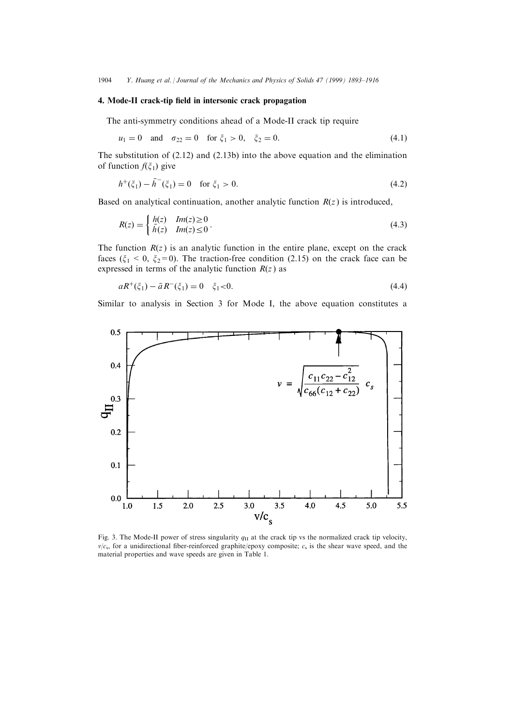1904 Y. Huang et al. | Journal of the Mechanics and Physics of Solids 47 (1999) 1893-1916

### 4. Mode-II crack-tip field in intersonic crack propagation

The anti-symmetry conditions ahead of a Mode-II crack tip require

$$
u_1 = 0
$$
 and  $\sigma_{22} = 0$  for  $\xi_1 > 0$ ,  $\xi_2 = 0$ . (4.1)

The substitution of (2.12) and (2.13b) into the above equation and the elimination of function  $f(\xi_1)$  give

$$
h^{+}(\xi_1) - \bar{h}^{-}(\xi_1) = 0 \quad \text{for } \xi_1 > 0.
$$
 (4.2)

Based on analytical continuation, another analytic function  $R(z)$  is introduced,

$$
R(z) = \begin{cases} \frac{h(z)}{h(z)} & \text{Im}(z) \ge 0\\ \frac{h(z)}{h(z)} & \text{Im}(z) \le 0 \end{cases} \tag{4.3}
$$

The function  $R(z)$  is an analytic function in the entire plane, except on the crack faces ( $\xi_1$  < 0,  $\xi_2$ =0). The traction-free condition (2.15) on the crack face can be expressed in terms of the analytic function  $R(z)$  as

$$
aR^{+}(\xi_{1}) - \bar{a}R^{-}(\xi_{1}) = 0 \quad \xi_{1} < 0. \tag{4.4}
$$

Similar to analysis in Section 3 for Mode I, the above equation constitutes a



Fig. 3. The Mode-II power of stress singularity  $q<sub>II</sub>$  at the crack tip vs the normalized crack tip velocity,  $v/c<sub>s</sub>$ , for a unidirectional fiber-reinforced graphite/epoxy composite;  $c<sub>s</sub>$  is the shear wave speed, and the material properties and wave speeds are given in Table 1.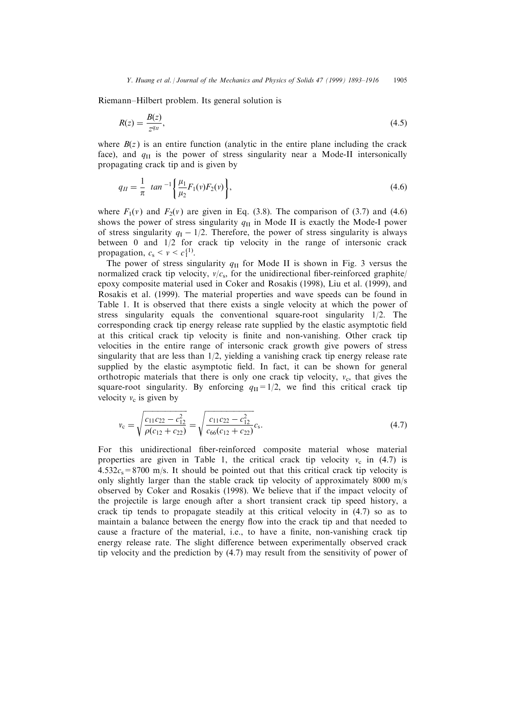Riemann±Hilbert problem. Its general solution is

$$
R(z) = \frac{B(z)}{z^{q_{II}}},\tag{4.5}
$$

where  $B(z)$  is an entire function (analytic in the entire plane including the crack face), and  $q_{\text{II}}$  is the power of stress singularity near a Mode-II intersonically propagating crack tip and is given by

$$
q_{II} = \frac{1}{\pi} \tan^{-1} \left\{ \frac{\mu_1}{\mu_2} F_1(v) F_2(v) \right\},\tag{4.6}
$$

where  $F_1(v)$  and  $F_2(v)$  are given in Eq. (3.8). The comparison of (3.7) and (4.6) shows the power of stress singularity  $q_{II}$  in Mode II is exactly the Mode-I power of stress singularity  $q_1 - 1/2$ . Therefore, the power of stress singularity is always between 0 and 1/2 for crack tip velocity in the range of intersonic crack propagation,  $c_s < v < c_1^{(1)}$ .

The power of stress singularity  $q_{II}$  for Mode II is shown in Fig. 3 versus the normalized crack tip velocity,  $v/c_s$ , for the unidirectional fiber-reinforced graphite epoxy composite material used in Coker and Rosakis (1998), Liu et al. (1999), and Rosakis et al. (1999). The material properties and wave speeds can be found in Table 1. It is observed that there exists a single velocity at which the power of stress singularity equals the conventional square-root singularity 1/2. The corresponding crack tip energy release rate supplied by the elastic asymptotic field at this critical crack tip velocity is finite and non-vanishing. Other crack tip velocities in the entire range of intersonic crack growth give powers of stress singularity that are less than 1/2, yielding a vanishing crack tip energy release rate supplied by the elastic asymptotic field. In fact, it can be shown for general orthotropic materials that there is only one crack tip velocity,  $v_c$ , that gives the square-root singularity. By enforcing  $q_{II}=1/2$ , we find this critical crack tip velocity  $v_c$  is given by

$$
v_{\rm c} = \sqrt{\frac{c_{11}c_{22} - c_{12}^2}{\rho(c_{12} + c_{22})}} = \sqrt{\frac{c_{11}c_{22} - c_{12}^2}{c_{66}(c_{12} + c_{22})}}c_{\rm s}.
$$
\n(4.7)

For this unidirectional fiber-reinforced composite material whose material properties are given in Table 1, the critical crack tip velocity  $v_c$  in (4.7) is  $4.532c_s = 8700$  m/s. It should be pointed out that this critical crack tip velocity is only slightly larger than the stable crack tip velocity of approximately 8000 m/s observed by Coker and Rosakis (1998). We believe that if the impact velocity of the projectile is large enough after a short transient crack tip speed history, a crack tip tends to propagate steadily at this critical velocity in (4.7) so as to maintain a balance between the energy flow into the crack tip and that needed to cause a fracture of the material, *i.e.*, to have a finite, non-vanishing crack tip energy release rate. The slight difference between experimentally observed crack tip velocity and the prediction by (4.7) may result from the sensitivity of power of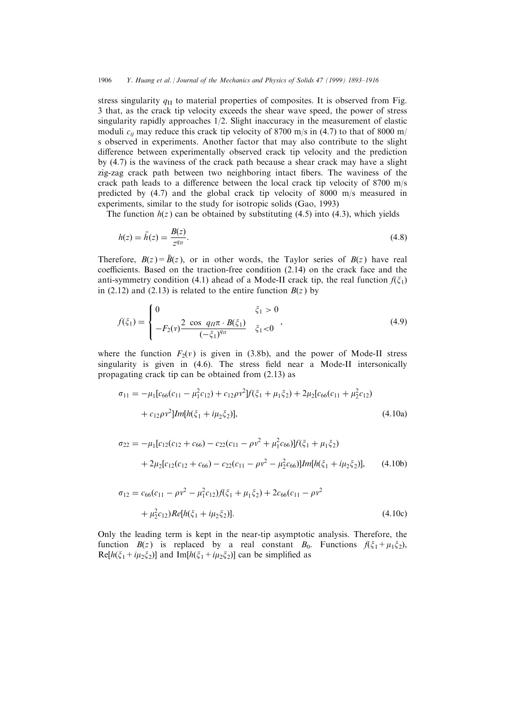stress singularity  $q_{\text{II}}$  to material properties of composites. It is observed from Fig. 3 that, as the crack tip velocity exceeds the shear wave speed, the power of stress singularity rapidly approaches 1/2. Slight inaccuracy in the measurement of elastic moduli  $c_{ii}$  may reduce this crack tip velocity of 8700 m/s in (4.7) to that of 8000 m/ s observed in experiments. Another factor that may also contribute to the slight difference between experimentally observed crack tip velocity and the prediction by (4.7) is the waviness of the crack path because a shear crack may have a slight zig-zag crack path between two neighboring intact fibers. The waviness of the crack path leads to a difference between the local crack tip velocity of  $8700 \text{ m/s}$ predicted by (4.7) and the global crack tip velocity of 8000 m/s measured in experiments, similar to the study for isotropic solids (Gao, 1993)

The function  $h(z)$  can be obtained by substituting (4.5) into (4.3), which yields

$$
h(z) = \bar{h}(z) = \frac{B(z)}{z^{q_{II}}}.
$$
\n(4.8)

Therefore,  $B(z) = \overline{B}(z)$ , or in other words, the Taylor series of  $B(z)$  have real coefficients. Based on the traction-free condition  $(2.14)$  on the crack face and the anti-symmetry condition (4.1) ahead of a Mode-II crack tip, the real function  $f(\xi_1)$ in (2.12) and (2.13) is related to the entire function  $B(z)$  by

$$
f(\xi_1) = \begin{cases} 0 & \xi_1 > 0 \\ -F_2(v) \frac{2 \cos q_H \pi \cdot B(\xi_1)}{(-\xi_1)^{q_H}} & \xi_1 < 0 \end{cases}
$$
 (4.9)

where the function  $F_2(v)$  is given in (3.8b), and the power of Mode-II stress singularity is given in (4.6). The stress field near a Mode-II intersonically propagating crack tip can be obtained from (2.13) as

$$
\sigma_{11} = -\mu_1[c_{66}(c_{11} - \mu_1^2 c_{12}) + c_{12}\rho v^2]f(\xi_1 + \mu_1 \xi_2) + 2\mu_2[c_{66}(c_{11} + \mu_2^2 c_{12})
$$
  
+  $c_{12}\rho v^2]Im[h(\xi_1 + i\mu_2 \xi_2)],$  (4.10a)

$$
\sigma_{22} = -\mu_1[c_{12}(c_{12} + c_{66}) - c_{22}(c_{11} - \rho v^2 + \mu_1^2 c_{66})]f(\xi_1 + \mu_1 \xi_2)
$$
  
+ 2\mu\_2[c\_{12}(c\_{12} + c\_{66}) - c\_{22}(c\_{11} - \rho v^2 - \mu\_2^2 c\_{66})]Im[h(\xi\_1 + i\mu\_2 \xi\_2)], (4.10b)

$$
\sigma_{12} = c_{66}(c_{11} - \rho v^2 - \mu_1^2 c_{12}) f(\xi_1 + \mu_1 \xi_2) + 2c_{66}(c_{11} - \rho v^2 + \mu_2^2 c_{12}) Re[h(\xi_1 + i\mu_2 \xi_2)].
$$
\n(4.10c)

Only the leading term is kept in the near-tip asymptotic analysis. Therefore, the function  $B(z)$  is replaced by a real constant  $B_0$ . Functions  $f(\xi_1+\mu_1\xi_2)$ ,  $\text{Re}[h(\xi_1+i\mu_2\xi_2)]$  and  $\text{Im}[h(\xi_1+i\mu_2\xi_2)]$  can be simplified as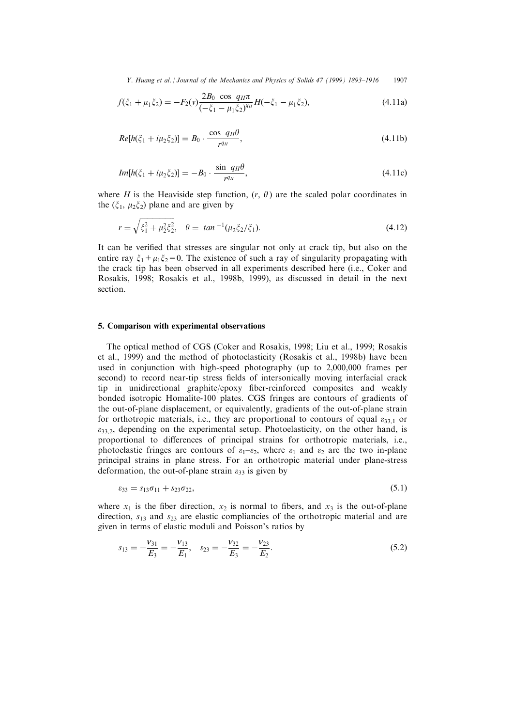Y. Huang et al. *| Journal of the Mechanics and Physics of Solids 47 (1999) 1893–1916* 1907

$$
f(\xi_1 + \mu_1 \xi_2) = -F_2(v) \frac{2B_0 \cos q_H \pi}{\left(-\xi_1 - \mu_1 \xi_2\right)^{qn}} H(-\xi_1 - \mu_1 \xi_2),\tag{4.11a}
$$

$$
Re[h(\xi_1 + i\mu_2 \xi_2)] = B_0 \cdot \frac{\cos q_H \theta}{r^{q_H}},
$$
\n(4.11b)

$$
Im[h(\xi_1 + i\mu_2 \xi_2)] = -B_0 \cdot \frac{\sin q_H \theta}{r^{q_H}},
$$
\n(4.11c)

where H is the Heaviside step function,  $(r, \theta)$  are the scaled polar coordinates in the  $(\xi_1, \mu_2 \xi_2)$  plane and are given by

$$
r = \sqrt{\xi_1^2 + \mu_2^2 \xi_2^2}, \quad \theta = \tan^{-1}(\mu_2 \xi_2 / \xi_1). \tag{4.12}
$$

It can be verified that stresses are singular not only at crack tip, but also on the entire ray  $\xi_1 + \mu_1 \xi_2 = 0$ . The existence of such a ray of singularity propagating with the crack tip has been observed in all experiments described here (i.e., Coker and Rosakis, 1998; Rosakis et al., 1998b, 1999), as discussed in detail in the next section.

#### 5. Comparison with experimental observations

The optical method of CGS (Coker and Rosakis, 1998; Liu et al., 1999; Rosakis et al., 1999) and the method of photoelasticity (Rosakis et al., 1998b) have been used in conjunction with high-speed photography (up to 2,000,000 frames per second) to record near-tip stress fields of intersonically moving interfacial crack tip in unidirectional graphite/epoxy fiber-reinforced composites and weakly bonded isotropic Homalite-100 plates. CGS fringes are contours of gradients of the out-of-plane displacement, or equivalently, gradients of the out-of-plane strain for orthotropic materials, i.e., they are proportional to contours of equal  $\varepsilon_{33,1}$  or  $\varepsilon_{33,2}$ , depending on the experimental setup. Photoelasticity, on the other hand, is proportional to differences of principal strains for orthotropic materials, i.e., photoelastic fringes are contours of  $\varepsilon_1-\varepsilon_2$ , where  $\varepsilon_1$  and  $\varepsilon_2$  are the two in-plane principal strains in plane stress. For an orthotropic material under plane-stress deformation, the out-of-plane strain  $\varepsilon_{33}$  is given by

$$
\varepsilon_{33} = s_{13}\sigma_{11} + s_{23}\sigma_{22},\tag{5.1}
$$

where  $x_1$  is the fiber direction,  $x_2$  is normal to fibers, and  $x_3$  is the out-of-plane direction,  $s_{13}$  and  $s_{23}$  are elastic compliancies of the orthotropic material and are given in terms of elastic moduli and Poisson's ratios by

$$
s_{13} = -\frac{v_{31}}{E_3} = -\frac{v_{13}}{E_1}, \quad s_{23} = -\frac{v_{32}}{E_3} = -\frac{v_{23}}{E_2}.
$$
\n
$$
(5.2)
$$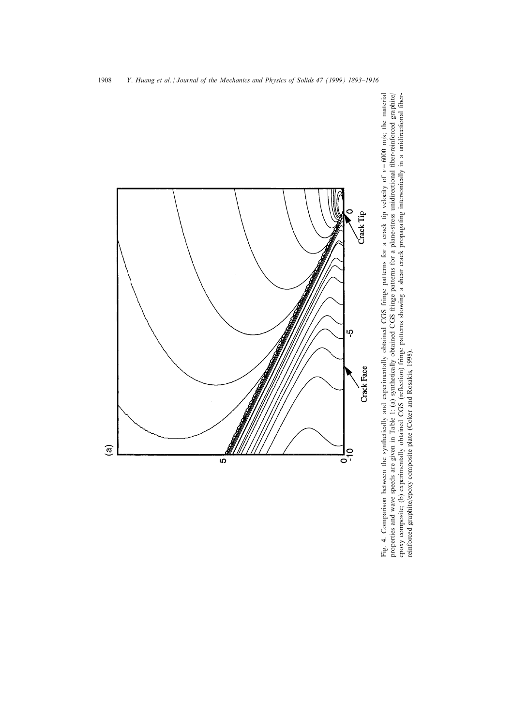

Fig. 4. Comparison between the synthetically and experimentally obtained CGS fringe patterns for a crack tip velocity of  $v=6000$  m/s; the material properties and wave speeds are given in Table 1: (a) synthetically obtained CGS fringe patterns for a plane-stress unidirectional fiber-reinforced graphite/ epoxy composite; (b) experimentally obtained CGS (reflection) fringe patterns showing a shear crack propagating intersonically in a unidirectional fiber-Fig. 4. Comparison between the synthetically and experimentally obtained CGS fringe patterns for a crack tip velocity of v=6000 m/s; the material properties and wave speeds are given in Table 1: (a) synthetically obtained CGS fringe patterns for a plane-stress unidirectional ®ber-reinforced graphite/ epoxy composite; (b) experimentally obtained CGS (reflection) fringe patterns showing a shear crack propagating intersonically in a unidirectional fiberreinforced graphite/epoxy composite plate (Coker and Rosakis, 1998). reinforced graphite/epoxy composite plate (Coker and Rosakis, 1998).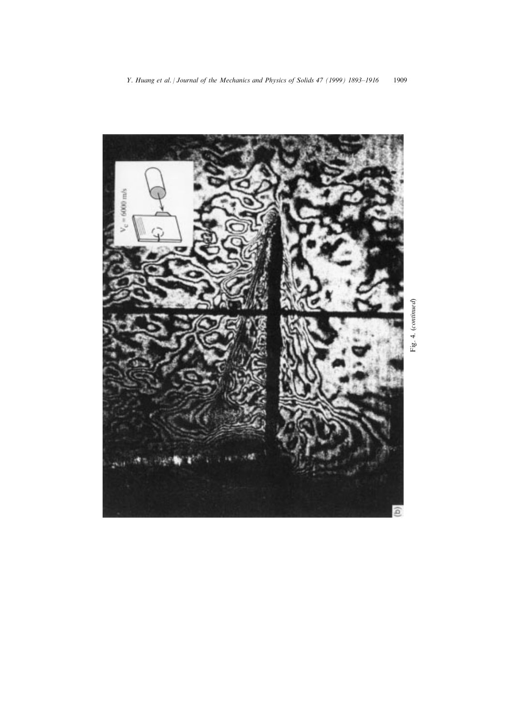

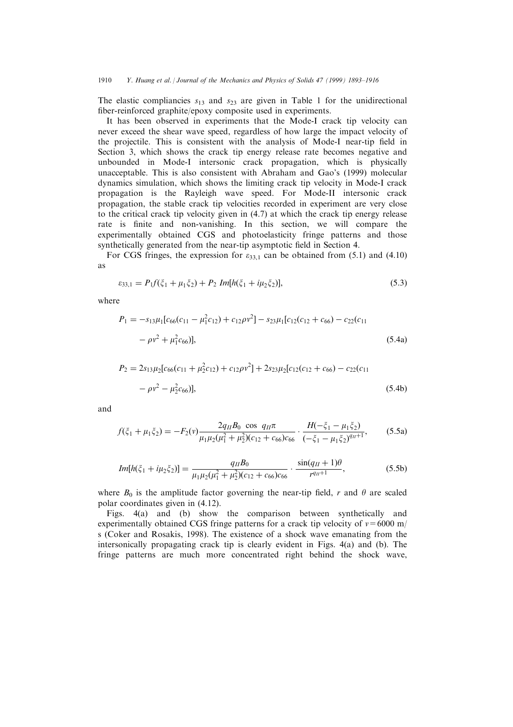The elastic compliancies  $s_{13}$  and  $s_{23}$  are given in Table 1 for the unidirectional fiber-reinforced graphite/epoxy composite used in experiments.

It has been observed in experiments that the Mode-I crack tip velocity can never exceed the shear wave speed, regardless of how large the impact velocity of the projectile. This is consistent with the analysis of Mode-I near-tip field in Section 3, which shows the crack tip energy release rate becomes negative and unbounded in Mode-I intersonic crack propagation, which is physically unacceptable. This is also consistent with Abraham and Gao's (1999) molecular dynamics simulation, which shows the limiting crack tip velocity in Mode-I crack propagation is the Rayleigh wave speed. For Mode-II intersonic crack propagation, the stable crack tip velocities recorded in experiment are very close to the critical crack tip velocity given in (4.7) at which the crack tip energy release rate is finite and non-vanishing. In this section, we will compare the experimentally obtained CGS and photoelasticity fringe patterns and those synthetically generated from the near-tip asymptotic field in Section 4.

For CGS fringes, the expression for  $\varepsilon_{33,1}$  can be obtained from (5.1) and (4.10) as

$$
\varepsilon_{33,1} = P_1 f(\xi_1 + \mu_1 \xi_2) + P_2 Im[h(\xi_1 + i\mu_2 \xi_2)], \tag{5.3}
$$

where

$$
P_1 = -s_{13}\mu_1[c_{66}(c_{11} - \mu_1^2 c_{12}) + c_{12}\rho v^2] - s_{23}\mu_1[c_{12}(c_{12} + c_{66}) - c_{22}(c_{11} - \rho v^2 + \mu_1^2 c_{66})],
$$
\n(5.4a)

$$
P_2 = 2s_{13}\mu_2[c_{66}(c_{11} + \mu_2^2 c_{12}) + c_{12}\rho v^2] + 2s_{23}\mu_2[c_{12}(c_{12} + c_{66}) - c_{22}(c_{11} - \rho v^2 - \mu_2^2 c_{66})],
$$
\n(5.4b)

and

$$
f(\xi_1 + \mu_1 \xi_2) = -F_2(v) \frac{2q_H B_0 \cos q_H \pi}{\mu_1 \mu_2 (\mu_1^2 + \mu_2^2)(c_{12} + c_{66}) c_{66}} \cdot \frac{H(-\xi_1 - \mu_1 \xi_2)}{(-\xi_1 - \mu_1 \xi_2)^{q_H + 1}},
$$
(5.5a)

$$
Im[h(\xi_1 + i\mu_2 \xi_2)] = \frac{q_H B_0}{\mu_1 \mu_2 (\mu_1^2 + \mu_2^2)(c_{12} + c_{66})c_{66}} \cdot \frac{\sin(q_H + 1)\theta}{r^{q_H + 1}},
$$
(5.5b)

where  $B_0$  is the amplitude factor governing the near-tip field, r and  $\theta$  are scaled polar coordinates given in (4.12).

Figs. 4(a) and (b) show the comparison between synthetically and experimentally obtained CGS fringe patterns for a crack tip velocity of  $v = 6000$  m/ s (Coker and Rosakis, 1998). The existence of a shock wave emanating from the intersonically propagating crack tip is clearly evident in Figs. 4(a) and (b). The fringe patterns are much more concentrated right behind the shock wave,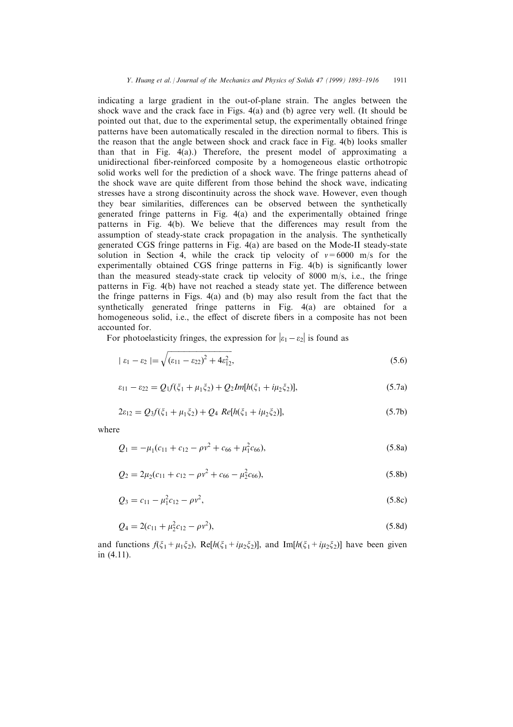indicating a large gradient in the out-of-plane strain. The angles between the shock wave and the crack face in Figs. 4(a) and (b) agree very well. (It should be pointed out that, due to the experimental setup, the experimentally obtained fringe patterns have been automatically rescaled in the direction normal to fibers. This is the reason that the angle between shock and crack face in Fig. 4(b) looks smaller than that in Fig. 4(a).) Therefore, the present model of approximating a unidirectional fiber-reinforced composite by a homogeneous elastic orthotropic solid works well for the prediction of a shock wave. The fringe patterns ahead of the shock wave are quite different from those behind the shock wave, indicating stresses have a strong discontinuity across the shock wave. However, even though they bear similarities, differences can be observed between the synthetically generated fringe patterns in Fig. 4(a) and the experimentally obtained fringe patterns in Fig. 4(b). We believe that the differences may result from the assumption of steady-state crack propagation in the analysis. The synthetically generated CGS fringe patterns in Fig. 4(a) are based on the Mode-II steady-state solution in Section 4, while the crack tip velocity of  $v=6000$  m/s for the experimentally obtained  $\overline{CGS}$  fringe patterns in Fig. 4(b) is significantly lower than the measured steady-state crack tip velocity of 8000 m/s, i.e., the fringe patterns in Fig.  $4(b)$  have not reached a steady state yet. The difference between the fringe patterns in Figs. 4(a) and (b) may also result from the fact that the synthetically generated fringe patterns in Fig. 4(a) are obtained for a homogeneous solid, i.e., the effect of discrete fibers in a composite has not been accounted for.

For photoelasticity fringes, the expression for  $|\varepsilon_1 - \varepsilon_2|$  is found as

$$
|\varepsilon_1 - \varepsilon_2| = \sqrt{(\varepsilon_{11} - \varepsilon_{22})^2 + 4\varepsilon_{12}^2},\tag{5.6}
$$

$$
\varepsilon_{11} - \varepsilon_{22} = Q_1 f(\xi_1 + \mu_1 \xi_2) + Q_2 Im[h(\xi_1 + i\mu_2 \xi_2)],
$$
\n(5.7a)

$$
2\varepsilon_{12} = Q_3 f(\xi_1 + \mu_1 \xi_2) + Q_4 \ Re[h(\xi_1 + i\mu_2 \xi_2)], \tag{5.7b}
$$

where

$$
Q_1 = -\mu_1(c_{11} + c_{12} - \rho v^2 + c_{66} + \mu_1^2 c_{66}),
$$
\n(5.8a)

$$
Q_2 = 2\mu_2(c_{11} + c_{12} - \rho v^2 + c_{66} - \mu_2^2 c_{66}),
$$
\n(5.8b)

$$
Q_3 = c_{11} - \mu_1^2 c_{12} - \rho v^2, \tag{5.8c}
$$

$$
Q_4 = 2(c_{11} + \mu_2^2 c_{12} - \rho v^2),
$$
\n(5.8d)

and functions  $f(\xi_1+\mu_1\xi_2)$ , Re[ $h(\xi_1+i\mu_2\xi_2)$ ], and Im[ $h(\xi_1+i\mu_2\xi_2)$ ] have been given in (4.11).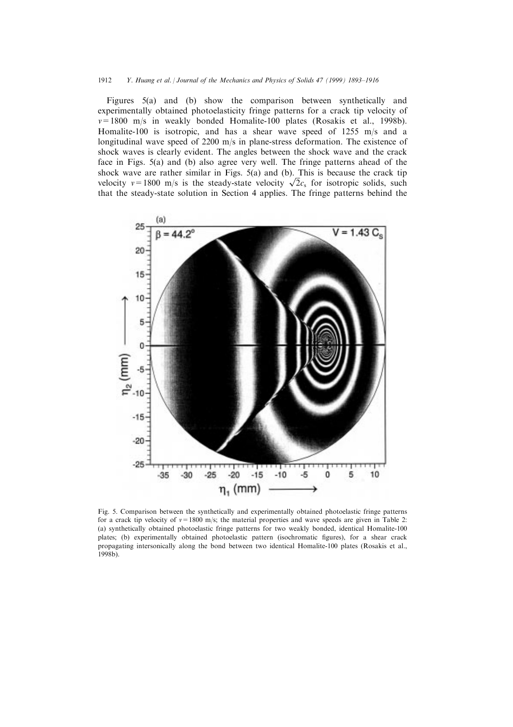#### 1912 Y. Huang et al. *| Journal of the Mechanics and Physics of Solids 47 (1999) 1893–1916*

Figures 5(a) and (b) show the comparison between synthetically and experimentally obtained photoelasticity fringe patterns for a crack tip velocity of  $v=1800$  m/s in weakly bonded Homalite-100 plates (Rosakis et al., 1998b). Homalite-100 is isotropic, and has a shear wave speed of 1255 m/s and a longitudinal wave speed of 2200 m/s in plane-stress deformation. The existence of shock waves is clearly evident. The angles between the shock wave and the crack face in Figs. 5(a) and (b) also agree very well. The fringe patterns ahead of the shock wave are rather similar in Figs. 5(a) and (b). This is because the crack tip shock wave are rather similar in Figs. 5(a) and (b). This is because the crack tip velocity  $v=1800$  m/s is the steady-state velocity  $\sqrt{2}c_s$  for isotropic solids, such that the steady-state solution in Section 4 applies. The fringe patterns behind the



Fig. 5. Comparison between the synthetically and experimentally obtained photoelastic fringe patterns for a crack tip velocity of  $v=1800$  m/s; the material properties and wave speeds are given in Table 2: (a) synthetically obtained photoelastic fringe patterns for two weakly bonded, identical Homalite-100 plates; (b) experimentally obtained photoelastic pattern (isochromatic figures), for a shear crack propagating intersonically along the bond between two identical Homalite-100 plates (Rosakis et al., 1998b).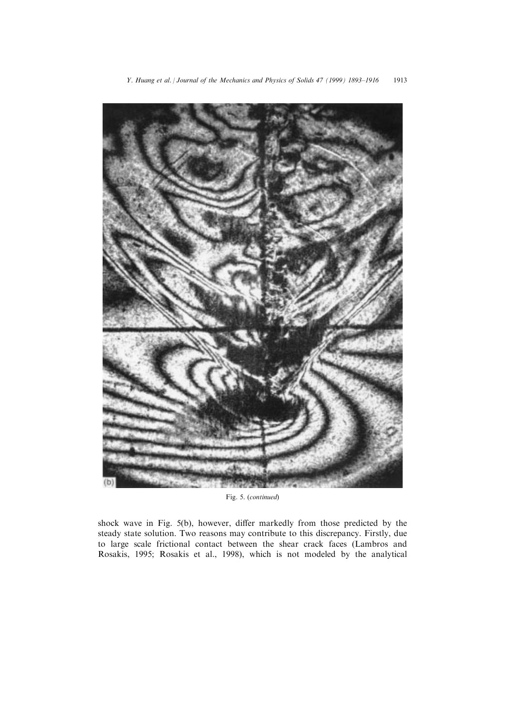

Fig. 5. (continued)

shock wave in Fig. 5(b), however, differ markedly from those predicted by the steady state solution. Two reasons may contribute to this discrepancy. Firstly, due to large scale frictional contact between the shear crack faces (Lambros and Rosakis, 1995; Rosakis et al., 1998), which is not modeled by the analytical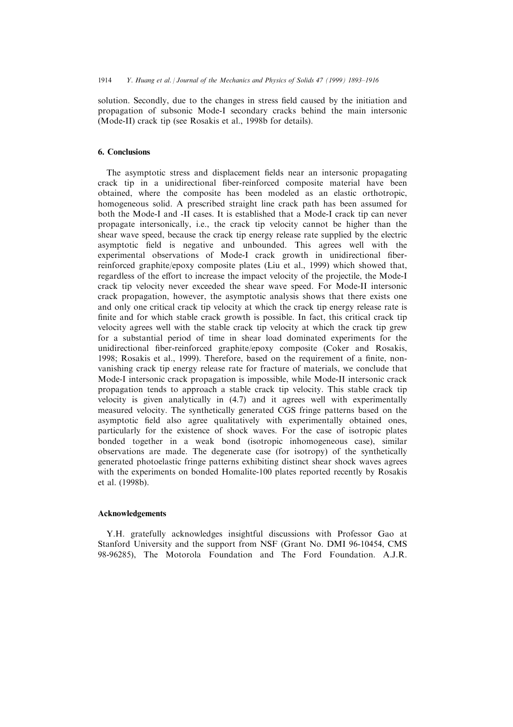solution. Secondly, due to the changes in stress field caused by the initiation and propagation of subsonic Mode-I secondary cracks behind the main intersonic (Mode-II) crack tip (see Rosakis et al., 1998b for details).

## 6. Conclusions

The asymptotic stress and displacement fields near an intersonic propagating crack tip in a unidirectional fiber-reinforced composite material have been obtained, where the composite has been modeled as an elastic orthotropic, homogeneous solid. A prescribed straight line crack path has been assumed for both the Mode-I and -II cases. It is established that a Mode-I crack tip can never propagate intersonically, i.e., the crack tip velocity cannot be higher than the shear wave speed, because the crack tip energy release rate supplied by the electric asymptotic field is negative and unbounded. This agrees well with the experimental observations of Mode-I crack growth in unidirectional fiberreinforced graphite/epoxy composite plates (Liu et al., 1999) which showed that, regardless of the effort to increase the impact velocity of the projectile, the Mode-I crack tip velocity never exceeded the shear wave speed. For Mode-II intersonic crack propagation, however, the asymptotic analysis shows that there exists one and only one critical crack tip velocity at which the crack tip energy release rate is finite and for which stable crack growth is possible. In fact, this critical crack tip velocity agrees well with the stable crack tip velocity at which the crack tip grew for a substantial period of time in shear load dominated experiments for the unidirectional fiber-reinforced graphite/epoxy composite (Coker and Rosakis, 1998; Rosakis et al., 1999). Therefore, based on the requirement of a finite, nonvanishing crack tip energy release rate for fracture of materials, we conclude that Mode-I intersonic crack propagation is impossible, while Mode-II intersonic crack propagation tends to approach a stable crack tip velocity. This stable crack tip velocity is given analytically in (4.7) and it agrees well with experimentally measured velocity. The synthetically generated CGS fringe patterns based on the asymptotic field also agree qualitatively with experimentally obtained ones, particularly for the existence of shock waves. For the case of isotropic plates bonded together in a weak bond (isotropic inhomogeneous case), similar observations are made. The degenerate case (for isotropy) of the synthetically generated photoelastic fringe patterns exhibiting distinct shear shock waves agrees with the experiments on bonded Homalite-100 plates reported recently by Rosakis et al. (1998b).

#### Acknowledgements

Y.H. gratefully acknowledges insightful discussions with Professor Gao at Stanford University and the support from NSF (Grant No. DMI 96-10454, CMS 98-96285), The Motorola Foundation and The Ford Foundation. A.J.R.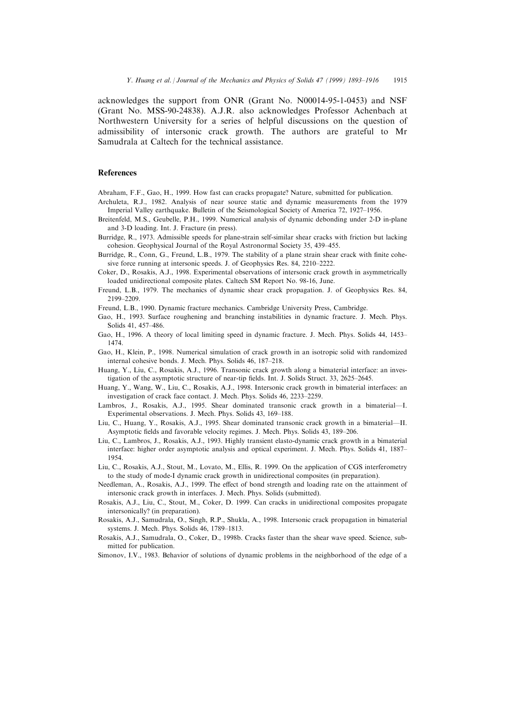acknowledges the support from ONR (Grant No. N00014-95-1-0453) and NSF (Grant No. MSS-90-24838). A.J.R. also acknowledges Professor Achenbach at Northwestern University for a series of helpful discussions on the question of admissibility of intersonic crack growth. The authors are grateful to Mr Samudrala at Caltech for the technical assistance.

#### References

Abraham, F.F., Gao, H., 1999. How fast can cracks propagate? Nature, submitted for publication.

- Archuleta, R.J., 1982. Analysis of near source static and dynamic measurements from the 1979 Imperial Valley earthquake. Bulletin of the Seismological Society of America 72, 1927–1956.
- Breitenfeld, M.S., Geubelle, P.H., 1999. Numerical analysis of dynamic debonding under 2-D in-plane and 3-D loading. Int. J. Fracture (in press).
- Burridge, R., 1973. Admissible speeds for plane-strain self-similar shear cracks with friction but lacking cohesion. Geophysical Journal of the Royal Astronormal Society 35, 439-455.
- Burridge, R., Conn, G., Freund, L.B., 1979. The stability of a plane strain shear crack with finite cohesive force running at intersonic speeds. J. of Geophysics Res. 84, 2210-2222.
- Coker, D., Rosakis, A.J., 1998. Experimental observations of intersonic crack growth in asymmetrically loaded unidirectional composite plates. Caltech SM Report No. 98-16, June.
- Freund, L.B., 1979. The mechanics of dynamic shear crack propagation. J. of Geophysics Res. 84, 2199±2209.
- Freund, L.B., 1990. Dynamic fracture mechanics. Cambridge University Press, Cambridge.
- Gao, H., 1993. Surface roughening and branching instabilities in dynamic fracture. J. Mech. Phys. Solids 41, 457-486.
- Gao, H., 1996. A theory of local limiting speed in dynamic fracture. J. Mech. Phys. Solids 44, 1453-1474.
- Gao, H., Klein, P., 1998. Numerical simulation of crack growth in an isotropic solid with randomized internal cohesive bonds. J. Mech. Phys. Solids 46, 187-218.
- Huang, Y., Liu, C., Rosakis, A.J., 1996. Transonic crack growth along a bimaterial interface: an investigation of the asymptotic structure of near-tip fields. Int. J. Solids Struct. 33, 2625-2645.
- Huang, Y., Wang, W., Liu, C., Rosakis, A.J., 1998. Intersonic crack growth in bimaterial interfaces: an investigation of crack face contact. J. Mech. Phys. Solids 46, 2233–2259.
- Lambros, J., Rosakis, A.J., 1995. Shear dominated transonic crack growth in a bimaterial—I. Experimental observations. J. Mech. Phys. Solids 43, 169-188.
- Liu, C., Huang, Y., Rosakis, A.J., 1995. Shear dominated transonic crack growth in a bimaterial—II. Asymptotic fields and favorable velocity regimes. J. Mech. Phys. Solids 43, 189–206.
- Liu, C., Lambros, J., Rosakis, A.J., 1993. Highly transient elasto-dynamic crack growth in a bimaterial interface: higher order asymptotic analysis and optical experiment. J. Mech. Phys. Solids 41, 1887– 1954.
- Liu, C., Rosakis, A.J., Stout, M., Lovato, M., Ellis, R. 1999. On the application of CGS interferometry to the study of mode-I dynamic crack growth in unidirectional composites (in preparation).
- Needleman, A., Rosakis, A.J., 1999. The effect of bond strength and loading rate on the attainment of intersonic crack growth in interfaces. J. Mech. Phys. Solids (submitted).
- Rosakis, A.J., Liu, C., Stout, M., Coker, D. 1999. Can cracks in unidirectional composites propagate intersonically? (in preparation).
- Rosakis, A.J., Samudrala, O., Singh, R.P., Shukla, A., 1998. Intersonic crack propagation in bimaterial systems. J. Mech. Phys. Solids 46, 1789-1813.
- Rosakis, A.J., Samudrala, O., Coker, D., 1998b. Cracks faster than the shear wave speed. Science, submitted for publication.
- Simonov, I.V., 1983. Behavior of solutions of dynamic problems in the neighborhood of the edge of a